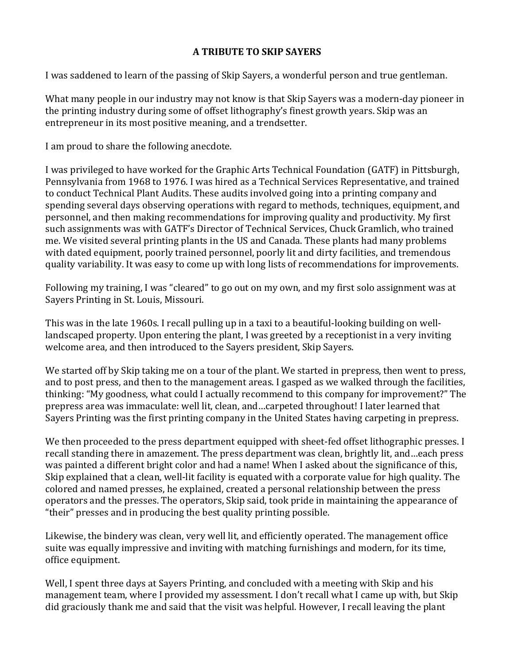## **A TRIBUTE TO SKIP SAYERS**

I was saddened to learn of the passing of Skip Sayers, a wonderful person and true gentleman.

What many people in our industry may not know is that Skip Sayers was a modern-day pioneer in the printing industry during some of offset lithography's finest growth years. Skip was an entrepreneur in its most positive meaning, and a trendsetter.

I am proud to share the following anecdote.

I was privileged to have worked for the Graphic Arts Technical Foundation (GATF) in Pittsburgh, Pennsylvania from 1968 to 1976. I was hired as a Technical Services Representative, and trained to conduct Technical Plant Audits. These audits involved going into a printing company and spending several days observing operations with regard to methods, techniques, equipment, and personnel, and then making recommendations for improving quality and productivity. My first such assignments was with GATF's Director of Technical Services, Chuck Gramlich, who trained me. We visited several printing plants in the US and Canada. These plants had many problems with dated equipment, poorly trained personnel, poorly lit and dirty facilities, and tremendous quality variability. It was easy to come up with long lists of recommendations for improvements.

Following my training, I was "cleared" to go out on my own, and my first solo assignment was at Sayers Printing in St. Louis, Missouri.

This was in the late 1960s. I recall pulling up in a taxi to a beautiful-looking building on welllandscaped property. Upon entering the plant, I was greeted by a receptionist in a very inviting welcome area, and then introduced to the Sayers president, Skip Sayers.

We started off by Skip taking me on a tour of the plant. We started in prepress, then went to press, and to post press, and then to the management areas. I gasped as we walked through the facilities, thinking: "My goodness, what could I actually recommend to this company for improvement?" The prepress area was immaculate: well lit, clean, and...carpeted throughout! I later learned that Sayers Printing was the first printing company in the United States having carpeting in prepress.

We then proceeded to the press department equipped with sheet-fed offset lithographic presses. I recall standing there in amazement. The press department was clean, brightly lit, and …each press was painted a different bright color and had a name! When I asked about the significance of this, Skip explained that a clean, well-lit facility is equated with a corporate value for high quality. The colored and named presses, he explained, created a personal relationship between the press operators and the presses. The operators, Skip said, took pride in maintaining the appearance of "their" presses and in producing the best quality printing possible.

Likewise, the bindery was clean, very well lit, and efficiently operated. The management office suite was equally impressive and inviting with matching furnishings and modern, for its time, office equipment.

Well, I spent three days at Sayers Printing, and concluded with a meeting with Skip and his management team, where I provided my assessment. I don't recall what I came up with, but Skip did graciously thank me and said that the visit was helpful. However, I recall leaving the plant